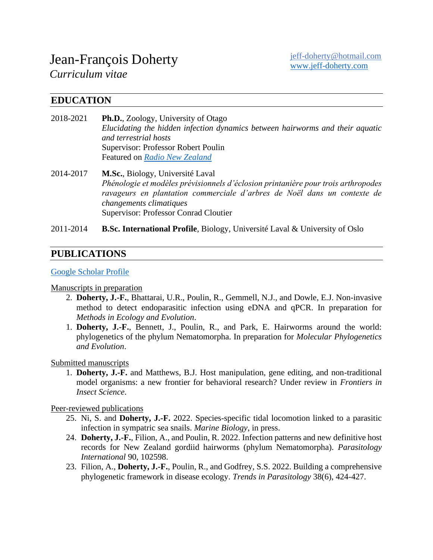# Jean-François Doherty

*Curriculum vitae*

# **EDUCATION**

- 2018-2021 **Ph.D.**, Zoology, University of Otago *Elucidating the hidden infection dynamics between hairworms and their aquatic and terrestrial hosts* Supervisor: Professor Robert Poulin Featured on *[Radio New Zealand](https://www.rnz.co.nz/national/programmes/ourchangingworld/audio/2018798837/the-winding-paths-of-science)*
- 2014-2017 **M.Sc.**, Biology, Université Laval *Phénologie et modèles prévisionnels d'éclosion printanière pour trois arthropodes ravageurs en plantation commerciale d'arbres de Noël dans un contexte de changements climatiques* Supervisor: Professor Conrad Cloutier
- 2011-2014 **B.Sc. International Profile**, Biology, Université Laval & University of Oslo

# **PUBLICATIONS**

#### [Google Scholar](https://scholar.google.co.nz/citations?user=KFwUAz8AAAAJ&hl=en) Profile

#### Manuscripts in preparation

- 2. **Doherty, J.-F.**, Bhattarai, U.R., Poulin, R., Gemmell, N.J., and Dowle, E.J. Non-invasive method to detect endoparasitic infection using eDNA and qPCR. In preparation for *Methods in Ecology and Evolution*.
- 1. **Doherty, J.-F.**, Bennett, J., Poulin, R., and Park, E. Hairworms around the world: phylogenetics of the phylum Nematomorpha. In preparation for *Molecular Phylogenetics and Evolution*.

Submitted manuscripts

1. **Doherty, J.-F.** and Matthews, B.J. Host manipulation, gene editing, and non-traditional model organisms: a new frontier for behavioral research? Under review in *Frontiers in Insect Science*.

Peer-reviewed publications

- 25. Ni, S. and **Doherty, J.-F.** 2022. Species-specific tidal locomotion linked to a parasitic infection in sympatric sea snails. *Marine Biology*, in press.
- 24. **Doherty, J.-F.**, Filion, A., and Poulin, R. 2022. Infection patterns and new definitive host records for New Zealand gordiid hairworms (phylum Nematomorpha). *Parasitology International* 90, 102598.
- 23. Filion, A., **Doherty, J.-F.**, Poulin, R., and Godfrey, S.S. 2022. Building a comprehensive phylogenetic framework in disease ecology. *Trends in Parasitology* 38(6), 424-427.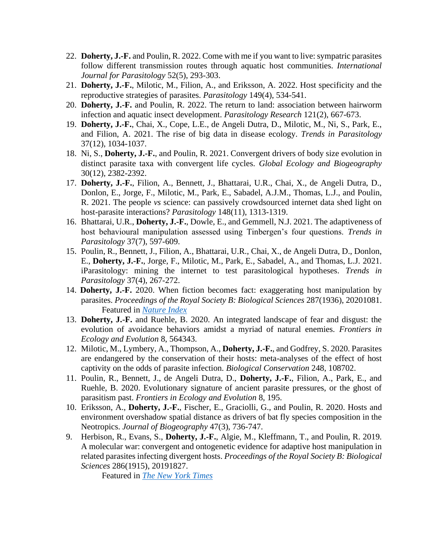- 22. **Doherty, J.-F.** and Poulin, R. 2022. Come with me if you want to live: sympatric parasites follow different transmission routes through aquatic host communities. *International Journal for Parasitology* 52(5), 293-303.
- 21. **Doherty, J.-F.**, Milotic, M., Filion, A., and Eriksson, A. 2022. Host specificity and the reproductive strategies of parasites. *Parasitology* 149(4), 534-541.
- 20. **Doherty, J.-F.** and Poulin, R. 2022. The return to land: association between hairworm infection and aquatic insect development. *Parasitology Research* 121(2), 667-673.
- 19. **Doherty, J.-F.**, Chai, X., Cope, L.E., de Angeli Dutra, D., Milotic, M., Ni, S., Park, E., and Filion, A. 2021. The rise of big data in disease ecology. *Trends in Parasitology* 37(12), 1034-1037.
- 18. Ni, S., **Doherty, J.-F.**, and Poulin, R. 2021. Convergent drivers of body size evolution in distinct parasite taxa with convergent life cycles. *Global Ecology and Biogeography* 30(12), 2382-2392.
- 17. **Doherty, J.-F.**, Filion, A., Bennett, J., Bhattarai, U.R., Chai, X., de Angeli Dutra, D., Donlon, E., Jorge, F., Milotic, M., Park, E., Sabadel, A.J.M., Thomas, L.J., and Poulin, R. 2021. The people *vs* science: can passively crowdsourced internet data shed light on host-parasite interactions? *Parasitology* 148(11), 1313-1319.
- 16. Bhattarai, U.R., **Doherty, J.-F.**, Dowle, E., and Gemmell, N.J. 2021. The adaptiveness of host behavioural manipulation assessed using Tinbergen's four questions. *Trends in Parasitology* 37(7), 597-609.
- 15. Poulin, R., Bennett, J., Filion, A., Bhattarai, U.R., Chai, X., de Angeli Dutra, D., Donlon, E., **Doherty, J.-F.**, Jorge, F., Milotic, M., Park, E., Sabadel, A., and Thomas, L.J. 2021. iParasitology: mining the internet to test parasitological hypotheses. *Trends in Parasitology* 37(4), 267-272.
- 14. **Doherty, J.-F.** 2020. When fiction becomes fact: exaggerating host manipulation by parasites. *Proceedings of the Royal Society B: Biological Sciences* 287(1936), 20201081. Featured in *[Nature Index](https://www.natureindex.com/news-blog/why-hype-sensationalism-on-the-rise-scientific-research-papers)*
- 13. **Doherty, J.-F.** and Ruehle, B. 2020. An integrated landscape of fear and disgust: the evolution of avoidance behaviors amidst a myriad of natural enemies. *Frontiers in Ecology and Evolution* 8, 564343.
- 12. Milotic, M., Lymbery, A., Thompson, A., **Doherty, J.-F.**, and Godfrey, S. 2020. Parasites are endangered by the conservation of their hosts: meta-analyses of the effect of host captivity on the odds of parasite infection. *Biological Conservation* 248, 108702.
- 11. Poulin, R., Bennett, J., de Angeli Dutra, D., **Doherty, J.-F.**, Filion, A., Park, E., and Ruehle, B. 2020. Evolutionary signature of ancient parasite pressures, or the ghost of parasitism past. *Frontiers in Ecology and Evolution* 8, 195.
- 10. Eriksson, A., **Doherty, J.-F.**, Fischer, E., Graciolli, G., and Poulin, R. 2020. Hosts and environment overshadow spatial distance as drivers of bat fly species composition in the Neotropics. *Journal of Biogeography* 47(3), 736-747.
- 9. Herbison, R., Evans, S., **Doherty, J.-F.**, Algie, M., Kleffmann, T., and Poulin, R. 2019. A molecular war: convergent and ontogenetic evidence for adaptive host manipulation in related parasites infecting divergent hosts. *Proceedings of the Royal Society B: Biological Sciences* 286(1915), 20191827.

Featured in *[The New York Times](https://www.nytimes.com/2019/11/22/science/parasites-insects-drown.html)*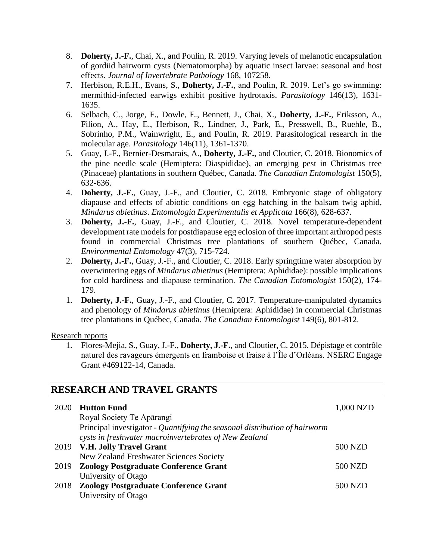- 8. **Doherty, J.-F.**, Chai, X., and Poulin, R. 2019. Varying levels of melanotic encapsulation of gordiid hairworm cysts (Nematomorpha) by aquatic insect larvae: seasonal and host effects. *Journal of Invertebrate Pathology* 168, 107258.
- 7. Herbison, R.E.H., Evans, S., **Doherty, J.-F.**, and Poulin, R. 2019. Let's go swimming: mermithid-infected earwigs exhibit positive hydrotaxis. *Parasitology* 146(13), 1631- 1635.
- 6. Selbach, C., Jorge, F., Dowle, E., Bennett, J., Chai, X., **Doherty, J.-F.**, Eriksson, A., Filion, A., Hay, E., Herbison, R., Lindner, J., Park, E., Presswell, B., Ruehle, B., Sobrinho, P.M., Wainwright, E., and Poulin, R. 2019. Parasitological research in the molecular age. *Parasitology* 146(11), 1361-1370.
- 5. Guay, J.-F., Bernier-Desmarais, A., **Doherty, J.-F.**, and Cloutier, C. 2018. Bionomics of the pine needle scale (Hemiptera: Diaspididae), an emerging pest in Christmas tree (Pinaceae) plantations in southern Québec, Canada. *The Canadian Entomologist* 150(5), 632-636.
- 4. **Doherty, J.-F.**, Guay, J.-F., and Cloutier, C. 2018. Embryonic stage of obligatory diapause and effects of abiotic conditions on egg hatching in the balsam twig aphid, *Mindarus abietinus*. *Entomologia Experimentalis et Applicata* 166(8), 628-637.
- 3. **Doherty, J.-F.**, Guay, J.-F., and Cloutier, C. 2018. Novel temperature-dependent development rate models for postdiapause egg eclosion of three important arthropod pests found in commercial Christmas tree plantations of southern Québec, Canada. *Environmental Entomology* 47(3), 715-724.
- 2. **Doherty, J.-F.**, Guay, J.-F., and Cloutier, C. 2018. Early springtime water absorption by overwintering eggs of *Mindarus abietinus* (Hemiptera: Aphididae): possible implications for cold hardiness and diapause termination. *The Canadian Entomologist* 150(2), 174- 179.
- 1. **Doherty, J.-F.**, Guay, J.-F., and Cloutier, C. 2017. Temperature-manipulated dynamics and phenology of *Mindarus abietinus* (Hemiptera: Aphididae) in commercial Christmas tree plantations in Québec, Canada. *The Canadian Entomologist* 149(6), 801-812.

Research reports

1. Flores-Mejia, S., Guay, J.-F., **Doherty, J.-F.**, and Cloutier, C. 2015. Dépistage et contrôle naturel des ravageurs émergents en framboise et fraise à l'Île d'Orléans. NSERC Engage Grant #469122-14, Canada.

## **RESEARCH AND TRAVEL GRANTS**

| 2020 | <b>Hutton Fund</b>                                                         | 1,000 NZD |
|------|----------------------------------------------------------------------------|-----------|
|      | Royal Society Te Apārangi                                                  |           |
|      | Principal investigator - Quantifying the seasonal distribution of hairworm |           |
|      | cysts in freshwater macroinvertebrates of New Zealand                      |           |
|      | 2019 V.H. Jolly Travel Grant                                               | 500 NZD   |
|      | New Zealand Freshwater Sciences Society                                    |           |
|      | 2019 Zoology Postgraduate Conference Grant                                 | 500 NZD   |
|      | University of Otago                                                        |           |
|      | 2018 Zoology Postgraduate Conference Grant                                 | 500 NZD   |
|      | University of Otago                                                        |           |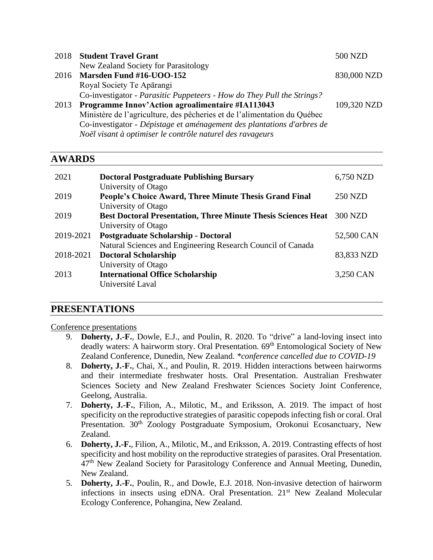|      | 2018 Student Travel Grant                                                | 500 NZD     |
|------|--------------------------------------------------------------------------|-------------|
|      | New Zealand Society for Parasitology                                     |             |
|      | 2016 Marsden Fund #16-UOO-152                                            | 830,000 NZD |
|      | Royal Society Te Apārangi                                                |             |
|      | Co-investigator - Parasitic Puppeteers - How do They Pull the Strings?   |             |
| 2013 | <b>Programme Innov'Action agroalimentaire #IA113043</b>                  | 109,320 NZD |
|      | Ministère de l'agriculture, des pêcheries et de l'alimentation du Québec |             |
|      | Co-investigator - Dépistage et aménagement des plantations d'arbres de   |             |
|      | Noël visant à optimiser le contrôle naturel des ravageurs                |             |

# **AWARDS**

| 2021      | <b>Doctoral Postgraduate Publishing Bursary</b>                               | 6,750 NZD      |
|-----------|-------------------------------------------------------------------------------|----------------|
| 2019      | University of Otago<br>People's Choice Award, Three Minute Thesis Grand Final | <b>250 NZD</b> |
|           | University of Otago                                                           |                |
| 2019      | <b>Best Doctoral Presentation, Three Minute Thesis Sciences Heat</b>          | 300 NZD        |
| 2019-2021 | University of Otago<br><b>Postgraduate Scholarship - Doctoral</b>             | 52,500 CAN     |
|           | Natural Sciences and Engineering Research Council of Canada                   |                |
| 2018-2021 | <b>Doctoral Scholarship</b>                                                   | 83,833 NZD     |
|           | University of Otago                                                           |                |
| 2013      | <b>International Office Scholarship</b><br>Université Laval                   | 3,250 CAN      |

## **PRESENTATIONS**

#### Conference presentations

- 9. **Doherty, J.-F.**, Dowle, E.J., and Poulin, R. 2020. To "drive" a land-loving insect into deadly waters: A hairworm story. Oral Presentation. 69<sup>th</sup> Entomological Society of New Zealand Conference, Dunedin, New Zealand. *\*conference cancelled due to COVID-19*
- 8. **Doherty, J.-F.**, Chai, X., and Poulin, R. 2019. Hidden interactions between hairworms and their intermediate freshwater hosts. Oral Presentation. Australian Freshwater Sciences Society and New Zealand Freshwater Sciences Society Joint Conference, Geelong, Australia.
- 7. **Doherty, J.-F.**, Filion, A., Milotic, M., and Eriksson, A. 2019. The impact of host specificity on the reproductive strategies of parasitic copepods infecting fish or coral. Oral Presentation. 30<sup>th</sup> Zoology Postgraduate Symposium, Orokonui Ecosanctuary, New Zealand.
- 6. **Doherty, J.-F.**, Filion, A., Milotic, M., and Eriksson, A. 2019. Contrasting effects of host specificity and host mobility on the reproductive strategies of parasites. Oral Presentation. 47<sup>th</sup> New Zealand Society for Parasitology Conference and Annual Meeting, Dunedin, New Zealand.
- 5. **Doherty, J.-F.**, Poulin, R., and Dowle, E.J. 2018. Non-invasive detection of hairworm infections in insects using eDNA. Oral Presentation. 21<sup>st</sup> New Zealand Molecular Ecology Conference, Pohangina, New Zealand.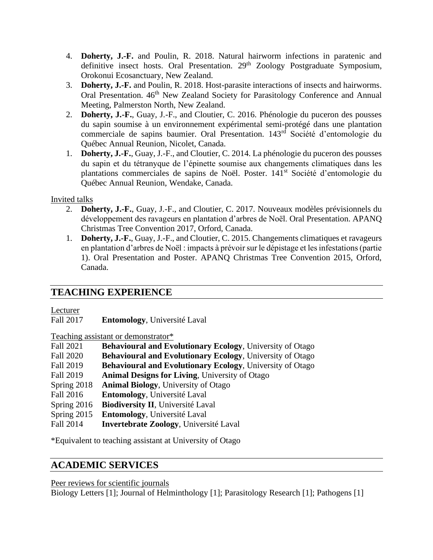- 4. **Doherty, J.-F.** and Poulin, R. 2018. Natural hairworm infections in paratenic and definitive insect hosts. Oral Presentation. 29<sup>th</sup> Zoology Postgraduate Symposium, Orokonui Ecosanctuary, New Zealand.
- 3. **Doherty, J.-F.** and Poulin, R. 2018. Host-parasite interactions of insects and hairworms. Oral Presentation. 46<sup>th</sup> New Zealand Society for Parasitology Conference and Annual Meeting, Palmerston North, New Zealand.
- 2. **Doherty, J.-F.**, Guay, J.-F., and Cloutier, C. 2016. Phénologie du puceron des pousses du sapin soumise à un environnement expérimental semi-protégé dans une plantation commerciale de sapins baumier. Oral Presentation. 143rd Société d'entomologie du Québec Annual Reunion, Nicolet, Canada.
- 1. **Doherty, J.-F.**, Guay, J.-F., and Cloutier, C. 2014. La phénologie du puceron des pousses du sapin et du tétranyque de l'épinette soumise aux changements climatiques dans les plantations commerciales de sapins de Noël. Poster. 141st Société d'entomologie du Québec Annual Reunion, Wendake, Canada.

#### Invited talks

- 2. **Doherty, J.-F.**, Guay, J.-F., and Cloutier, C. 2017. Nouveaux modèles prévisionnels du développement des ravageurs en plantation d'arbres de Noël. Oral Presentation. APANQ Christmas Tree Convention 2017, Orford, Canada.
- 1. **Doherty, J.-F.**, Guay, J.-F., and Cloutier, C. 2015. Changements climatiques et ravageurs en plantation d'arbres de Noël : impacts à prévoir sur le dépistage et les infestations (partie 1). Oral Presentation and Poster. APANQ Christmas Tree Convention 2015, Orford, Canada.

# **TEACHING EXPERIENCE**

Lecturer

Fall 2017 **Entomology**, Université Laval

Teaching assistant or demonstrator\*

| <b>Fall 2021</b> | <b>Behavioural and Evolutionary Ecology, University of Otago</b>  |
|------------------|-------------------------------------------------------------------|
| Fall 2020        | <b>Behavioural and Evolutionary Ecology</b> , University of Otago |
| Fall 2019        | <b>Behavioural and Evolutionary Ecology, University of Otago</b>  |
| Fall 2019        | <b>Animal Designs for Living, University of Otago</b>             |
| Spring 2018      | <b>Animal Biology, University of Otago</b>                        |
| Fall 2016        | <b>Entomology</b> , Université Laval                              |
| Spring 2016      | <b>Biodiversity II</b> , Université Laval                         |
| Spring 2015      | <b>Entomology</b> , Université Laval                              |
| Fall 2014        | <b>Invertebrate Zoology</b> , Université Laval                    |
|                  |                                                                   |

\*Equivalent to teaching assistant at University of Otago

# **ACADEMIC SERVICES**

Peer reviews for scientific journals

Biology Letters [1]; Journal of Helminthology [1]; Parasitology Research [1]; Pathogens [1]